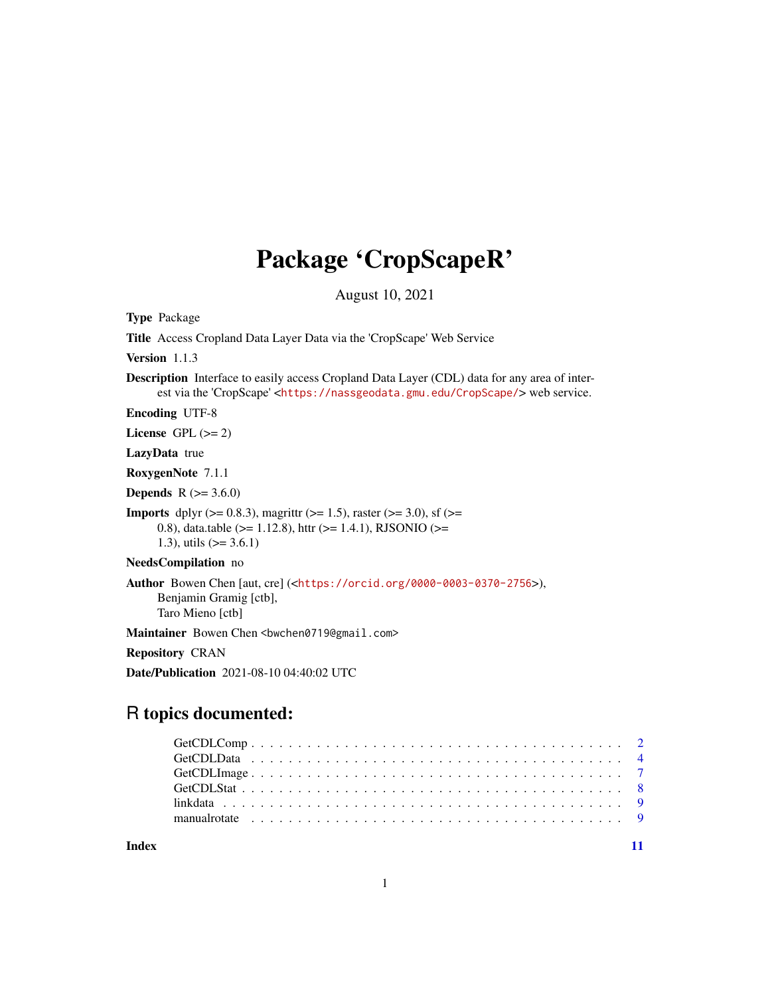## Package 'CropScapeR'

August 10, 2021

Type Package

Title Access Cropland Data Layer Data via the 'CropScape' Web Service

Version 1.1.3

Description Interface to easily access Cropland Data Layer (CDL) data for any area of interest via the 'CropScape' <<https://nassgeodata.gmu.edu/CropScape/>> web service.

Encoding UTF-8

License GPL  $(>= 2)$ 

LazyData true

RoxygenNote 7.1.1

**Depends** R  $(>= 3.6.0)$ 

**Imports** dplyr ( $> = 0.8.3$ ), magrittr ( $> = 1.5$ ), raster ( $> = 3.0$ ), sf ( $> =$ 0.8), data.table ( $>= 1.12.8$ ), httr ( $>= 1.4.1$ ), RJSONIO ( $>=$ 1.3), utils  $(>= 3.6.1)$ 

NeedsCompilation no

Author Bowen Chen [aut, cre] (<<https://orcid.org/0000-0003-0370-2756>>), Benjamin Gramig [ctb], Taro Mieno [ctb]

Maintainer Bowen Chen <br/>bwchen0719@gmail.com>

Repository CRAN

Date/Publication 2021-08-10 04:40:02 UTC

### R topics documented:

| manualrotate $\ldots \ldots \ldots \ldots \ldots \ldots \ldots \ldots \ldots \ldots \ldots \ldots \ldots$ |  |
|-----------------------------------------------------------------------------------------------------------|--|

**Index** [11](#page-10-0)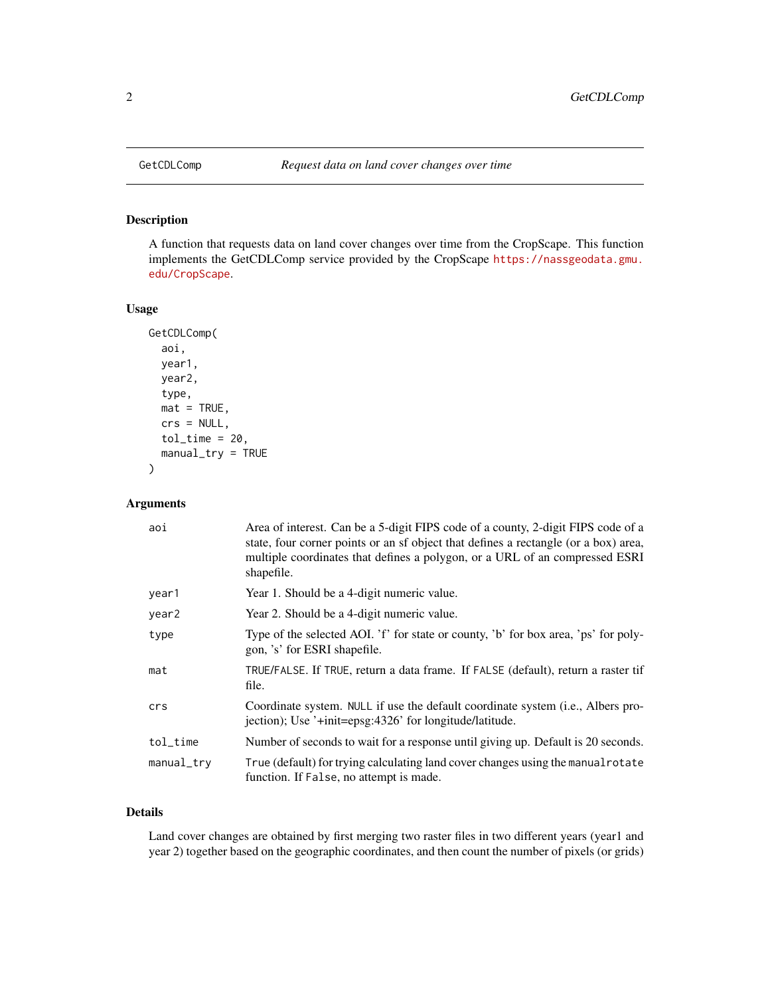#### Description

A function that requests data on land cover changes over time from the CropScape. This function implements the GetCDLComp service provided by the CropScape [https://nassgeodata.gmu.](https://nassgeodata.gmu.edu/CropScape) [edu/CropScape](https://nassgeodata.gmu.edu/CropScape).

#### Usage

```
GetCDLComp(
  aoi,
 year1,
  year2,
  type,
  mat = TRUE,crs = NULL,
  tol_time = 20,manual_try = TRUE
)
```
#### Arguments

| aoi        | Area of interest. Can be a 5-digit FIPS code of a county, 2-digit FIPS code of a<br>state, four corner points or an sf object that defines a rectangle (or a box) area,<br>multiple coordinates that defines a polygon, or a URL of an compressed ESRI<br>shapefile. |
|------------|----------------------------------------------------------------------------------------------------------------------------------------------------------------------------------------------------------------------------------------------------------------------|
| year1      | Year 1. Should be a 4-digit numeric value.                                                                                                                                                                                                                           |
| year2      | Year 2. Should be a 4-digit numeric value.                                                                                                                                                                                                                           |
| type       | Type of the selected AOI. 'f' for state or county, 'b' for box area, 'ps' for poly-<br>gon, 's' for ESRI shapefile.                                                                                                                                                  |
| mat        | TRUE/FALSE. If TRUE, return a data frame. If FALSE (default), return a raster tif<br>file.                                                                                                                                                                           |
| crs        | Coordinate system. NULL if use the default coordinate system (i.e., Albers pro-<br>jection); Use '+init=epsg:4326' for longitude/latitude.                                                                                                                           |
| tol_time   | Number of seconds to wait for a response until giving up. Default is 20 seconds.                                                                                                                                                                                     |
| manual_try | True (default) for trying calculating land cover changes using the manual rotate<br>function. If False, no attempt is made.                                                                                                                                          |

#### Details

Land cover changes are obtained by first merging two raster files in two different years (year1 and year 2) together based on the geographic coordinates, and then count the number of pixels (or grids)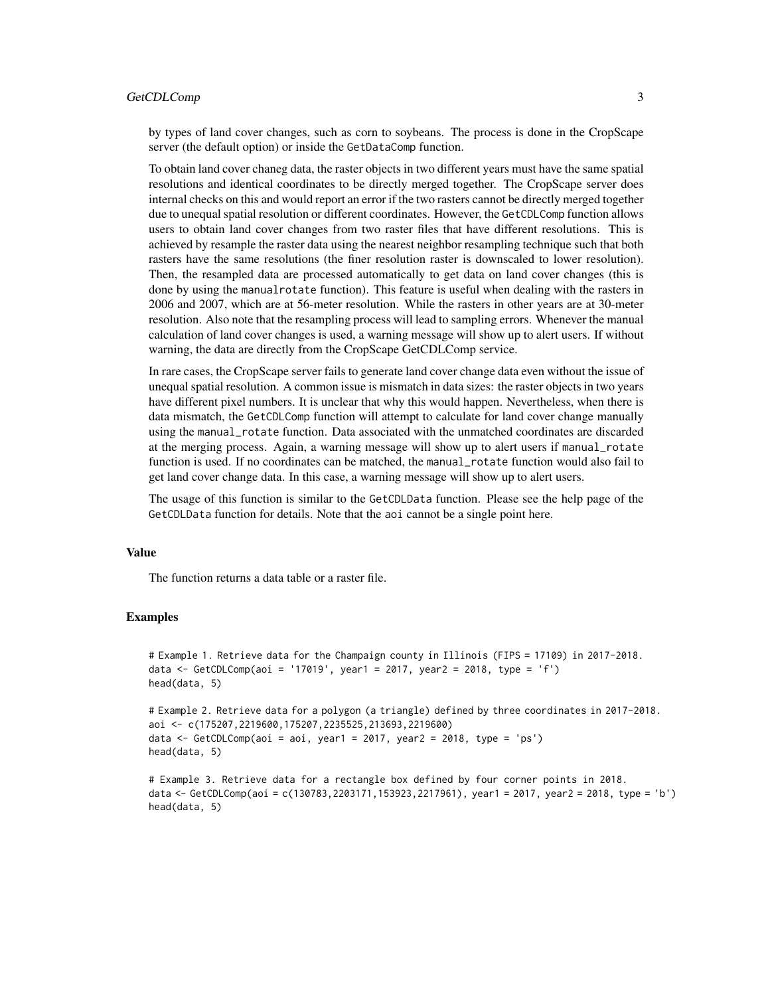#### GetCDLComp 3

by types of land cover changes, such as corn to soybeans. The process is done in the CropScape server (the default option) or inside the GetDataComp function.

To obtain land cover chaneg data, the raster objects in two different years must have the same spatial resolutions and identical coordinates to be directly merged together. The CropScape server does internal checks on this and would report an error if the two rasters cannot be directly merged together due to unequal spatial resolution or different coordinates. However, the GetCDLComp function allows users to obtain land cover changes from two raster files that have different resolutions. This is achieved by resample the raster data using the nearest neighbor resampling technique such that both rasters have the same resolutions (the finer resolution raster is downscaled to lower resolution). Then, the resampled data are processed automatically to get data on land cover changes (this is done by using the manualrotate function). This feature is useful when dealing with the rasters in 2006 and 2007, which are at 56-meter resolution. While the rasters in other years are at 30-meter resolution. Also note that the resampling process will lead to sampling errors. Whenever the manual calculation of land cover changes is used, a warning message will show up to alert users. If without warning, the data are directly from the CropScape GetCDLComp service.

In rare cases, the CropScape server fails to generate land cover change data even without the issue of unequal spatial resolution. A common issue is mismatch in data sizes: the raster objects in two years have different pixel numbers. It is unclear that why this would happen. Nevertheless, when there is data mismatch, the GetCDLComp function will attempt to calculate for land cover change manually using the manual\_rotate function. Data associated with the unmatched coordinates are discarded at the merging process. Again, a warning message will show up to alert users if manual\_rotate function is used. If no coordinates can be matched, the manual\_rotate function would also fail to get land cover change data. In this case, a warning message will show up to alert users.

The usage of this function is similar to the GetCDLData function. Please see the help page of the GetCDLData function for details. Note that the aoi cannot be a single point here.

#### Value

The function returns a data table or a raster file.

#### Examples

```
# Example 1. Retrieve data for the Champaign county in Illinois (FIPS = 17109) in 2017-2018.
data <- GetCDLComp(aoi = '17019', year1 = 2017, year2 = 2018, type = 'f')
head(data, 5)
```

```
# Example 2. Retrieve data for a polygon (a triangle) defined by three coordinates in 2017-2018.
aoi <- c(175207,2219600,175207,2235525,213693,2219600)
data <- GetCDLComp(aoi = aoi, year1 = 2017, year2 = 2018, type = 'ps')
head(data, 5)
```

```
# Example 3. Retrieve data for a rectangle box defined by four corner points in 2018.
data <- GetCDLComp(aoi = c(130783,2203171,153923,2217961), year1 = 2017, year2 = 2018, type = 'b')
head(data, 5)
```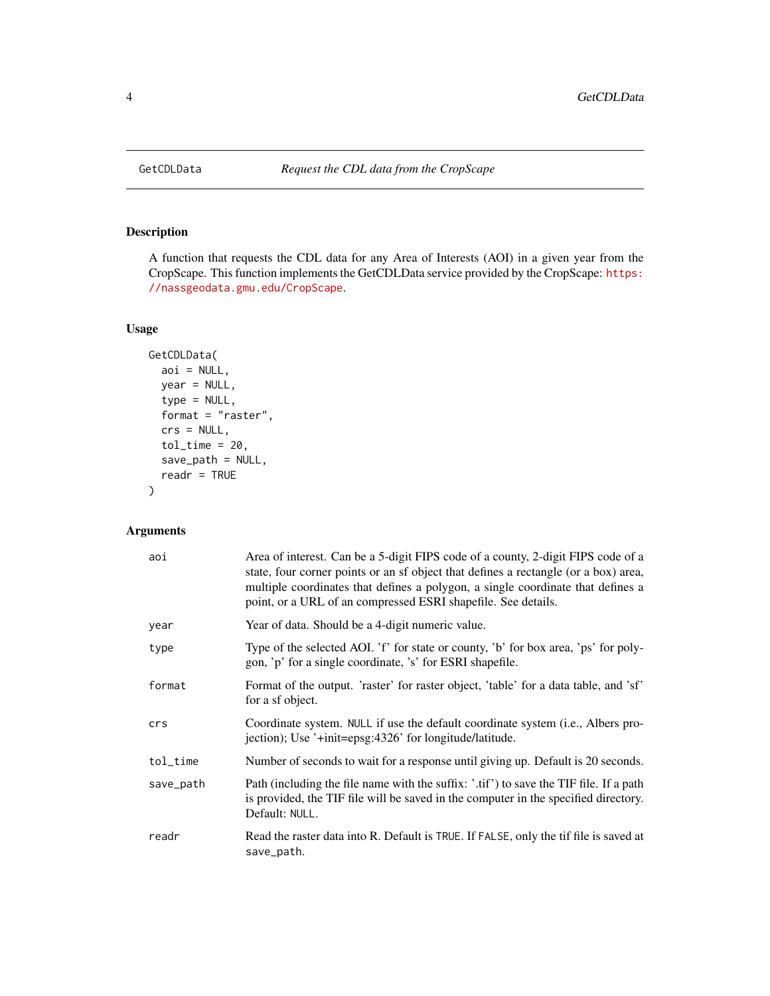#### Description

A function that requests the CDL data for any Area of Interests (AOI) in a given year from the CropScape. This function implements the GetCDLData service provided by the CropScape: [https:](https://nassgeodata.gmu.edu/CropScape) [//nassgeodata.gmu.edu/CropScape](https://nassgeodata.gmu.edu/CropScape).

#### Usage

```
GetCDLData(
 aoi = NULL,
 year = NULL,
 type = NULL,
 format = "raster",
 crs = NULL,
  tol_time = 20,save_path = NULL,
 readr = TRUE)
```
#### Arguments

| aoi       | Area of interest. Can be a 5-digit FIPS code of a county, 2-digit FIPS code of a<br>state, four corner points or an sf object that defines a rectangle (or a box) area,<br>multiple coordinates that defines a polygon, a single coordinate that defines a<br>point, or a URL of an compressed ESRI shapefile. See details. |  |
|-----------|-----------------------------------------------------------------------------------------------------------------------------------------------------------------------------------------------------------------------------------------------------------------------------------------------------------------------------|--|
| year      | Year of data. Should be a 4-digit numeric value.                                                                                                                                                                                                                                                                            |  |
| type      | Type of the selected AOI. 'f' for state or county, 'b' for box area, 'ps' for poly-<br>gon, 'p' for a single coordinate, 's' for ESRI shapefile.                                                                                                                                                                            |  |
| format    | Format of the output. 'raster' for raster object, 'table' for a data table, and 'sf'<br>for a sf object.                                                                                                                                                                                                                    |  |
| crs       | Coordinate system. NULL if use the default coordinate system (i.e., Albers pro-<br>jection); Use '+init=epsg:4326' for longitude/latitude.                                                                                                                                                                                  |  |
| tol_time  | Number of seconds to wait for a response until giving up. Default is 20 seconds.                                                                                                                                                                                                                                            |  |
| save_path | Path (including the file name with the suffix: '.tif') to save the TIF file. If a path<br>is provided, the TIF file will be saved in the computer in the specified directory.<br>Default: NULL.                                                                                                                             |  |
| readr     | Read the raster data into R. Default is TRUE. If FALSE, only the tif file is saved at<br>save_path.                                                                                                                                                                                                                         |  |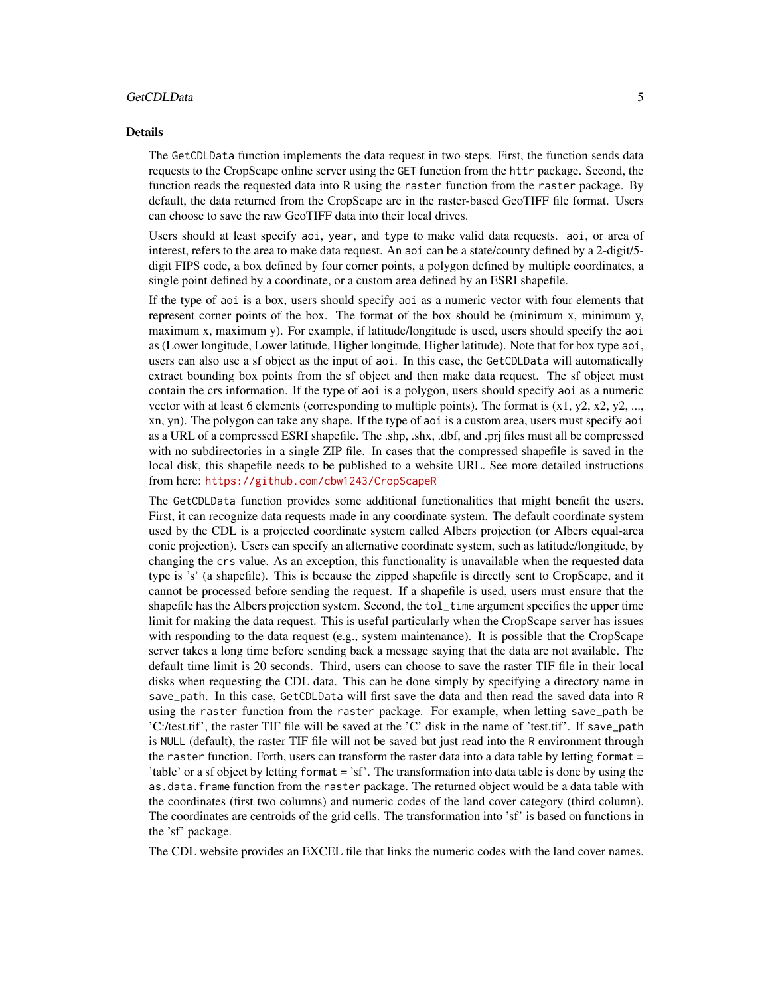#### GetCDLData 5

#### Details

The GetCDLData function implements the data request in two steps. First, the function sends data requests to the CropScape online server using the GET function from the httr package. Second, the function reads the requested data into R using the raster function from the raster package. By default, the data returned from the CropScape are in the raster-based GeoTIFF file format. Users can choose to save the raw GeoTIFF data into their local drives.

Users should at least specify aoi, year, and type to make valid data requests. aoi, or area of interest, refers to the area to make data request. An aoi can be a state/county defined by a 2-digit/5 digit FIPS code, a box defined by four corner points, a polygon defined by multiple coordinates, a single point defined by a coordinate, or a custom area defined by an ESRI shapefile.

If the type of aoi is a box, users should specify aoi as a numeric vector with four elements that represent corner points of the box. The format of the box should be (minimum x, minimum y, maximum x, maximum y). For example, if latitude/longitude is used, users should specify the aoi as (Lower longitude, Lower latitude, Higher longitude, Higher latitude). Note that for box type aoi, users can also use a sf object as the input of aoi. In this case, the GetCDLData will automatically extract bounding box points from the sf object and then make data request. The sf object must contain the crs information. If the type of aoi is a polygon, users should specify aoi as a numeric vector with at least 6 elements (corresponding to multiple points). The format is  $(x1, y2, x2, y2, \ldots,$ xn, yn). The polygon can take any shape. If the type of aoi is a custom area, users must specify aoi as a URL of a compressed ESRI shapefile. The .shp, .shx, .dbf, and .prj files must all be compressed with no subdirectories in a single ZIP file. In cases that the compressed shapefile is saved in the local disk, this shapefile needs to be published to a website URL. See more detailed instructions from here: <https://github.com/cbw1243/CropScapeR>

The GetCDLData function provides some additional functionalities that might benefit the users. First, it can recognize data requests made in any coordinate system. The default coordinate system used by the CDL is a projected coordinate system called Albers projection (or Albers equal-area conic projection). Users can specify an alternative coordinate system, such as latitude/longitude, by changing the crs value. As an exception, this functionality is unavailable when the requested data type is 's' (a shapefile). This is because the zipped shapefile is directly sent to CropScape, and it cannot be processed before sending the request. If a shapefile is used, users must ensure that the shapefile has the Albers projection system. Second, the tol\_time argument specifies the upper time limit for making the data request. This is useful particularly when the CropScape server has issues with responding to the data request (e.g., system maintenance). It is possible that the CropScape server takes a long time before sending back a message saying that the data are not available. The default time limit is 20 seconds. Third, users can choose to save the raster TIF file in their local disks when requesting the CDL data. This can be done simply by specifying a directory name in save\_path. In this case, GetCDLData will first save the data and then read the saved data into R using the raster function from the raster package. For example, when letting save\_path be 'C:/test.tif', the raster TIF file will be saved at the 'C' disk in the name of 'test.tif'. If save\_path is NULL (default), the raster TIF file will not be saved but just read into the R environment through the raster function. Forth, users can transform the raster data into a data table by letting format  $=$ 'table' or a sf object by letting format = 'sf'. The transformation into data table is done by using the as.data.frame function from the raster package. The returned object would be a data table with the coordinates (first two columns) and numeric codes of the land cover category (third column). The coordinates are centroids of the grid cells. The transformation into 'sf' is based on functions in the 'sf' package.

The CDL website provides an EXCEL file that links the numeric codes with the land cover names.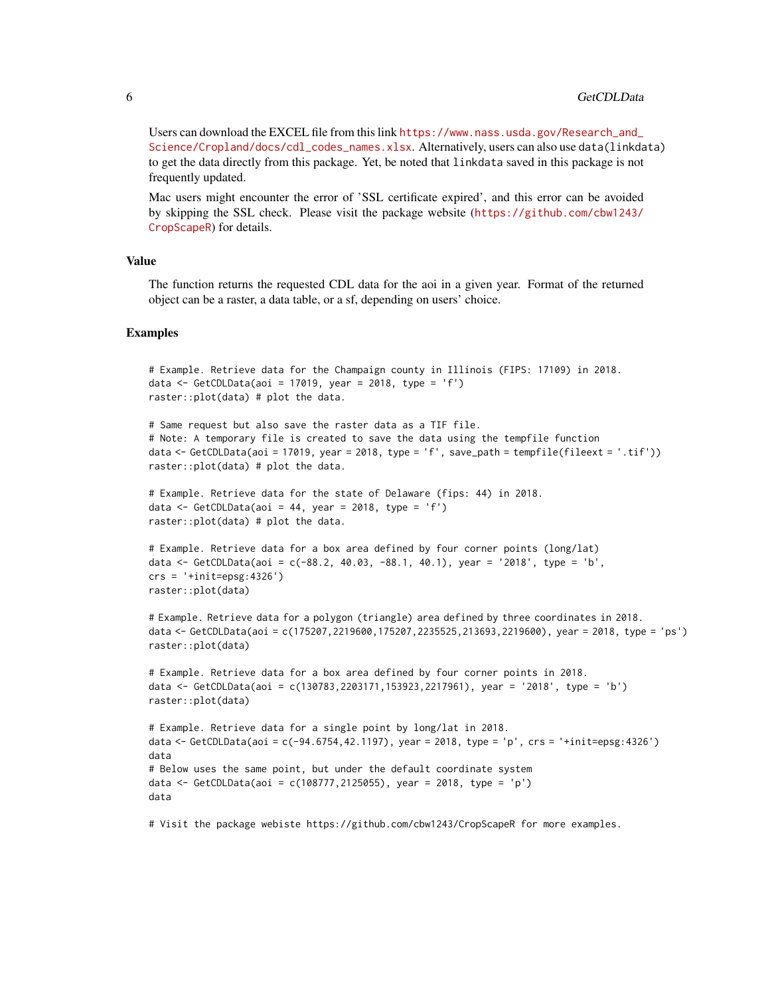Users can download the EXCEL file from this link [https://www.nass.usda.gov/Research\\_and\\_](https://www.nass.usda.gov/Research_and_Science/Cropland/docs/cdl_codes_names.xlsx) [Science/Cropland/docs/cdl\\_codes\\_names.xlsx](https://www.nass.usda.gov/Research_and_Science/Cropland/docs/cdl_codes_names.xlsx). Alternatively, users can also use data(linkdata) to get the data directly from this package. Yet, be noted that linkdata saved in this package is not frequently updated.

Mac users might encounter the error of 'SSL certificate expired', and this error can be avoided by skipping the SSL check. Please visit the package website ([https://github.com/cbw1243/](https://github.com/cbw1243/CropScapeR) [CropScapeR](https://github.com/cbw1243/CropScapeR)) for details.

#### Value

The function returns the requested CDL data for the aoi in a given year. Format of the returned object can be a raster, a data table, or a sf, depending on users' choice.

#### Examples

```
# Example. Retrieve data for the Champaign county in Illinois (FIPS: 17109) in 2018.
data <- GetCDLData(aoi = 17019, year = 2018, type = 'f')
raster::plot(data) # plot the data.
# Same request but also save the raster data as a TIF file.
# Note: A temporary file is created to save the data using the tempfile function
data <- GetCDLData(aoi = 17019, year = 2018, type = 'f', save_path = tempfile(fileext = '.tif'))
raster::plot(data) # plot the data.
# Example. Retrieve data for the state of Delaware (fips: 44) in 2018.
data \le GetCDLData(aoi = 44, year = 2018, type = 'f')
raster::plot(data) # plot the data.
# Example. Retrieve data for a box area defined by four corner points (long/lat)
data <- GetCDLData(aoi = c(-88.2, 40.03, -88.1, 40.1), year = '2018', type = 'b',
crs = '+init=epsg:4326')
raster::plot(data)
# Example. Retrieve data for a polygon (triangle) area defined by three coordinates in 2018.
data <- GetCDLData(aoi = c(175207,2219600,175207,2235525,213693,2219600), year = 2018, type = 'ps')
raster::plot(data)
# Example. Retrieve data for a box area defined by four corner points in 2018.
data <- GetCDLData(aoi = c(130783,2203171,153923,2217961), year = '2018', type = 'b')
raster::plot(data)
# Example. Retrieve data for a single point by long/lat in 2018.
data <- GetCDLData(aoi = c(-94.6754,42.1197), year = 2018, type = 'p', crs = '+init=epsg:4326')
data
# Below uses the same point, but under the default coordinate system
data <- GetCDLData(aoi = c(108777,2125055), year = 2018, type = 'p')
data
```
# Visit the package webiste https://github.com/cbw1243/CropScapeR for more examples.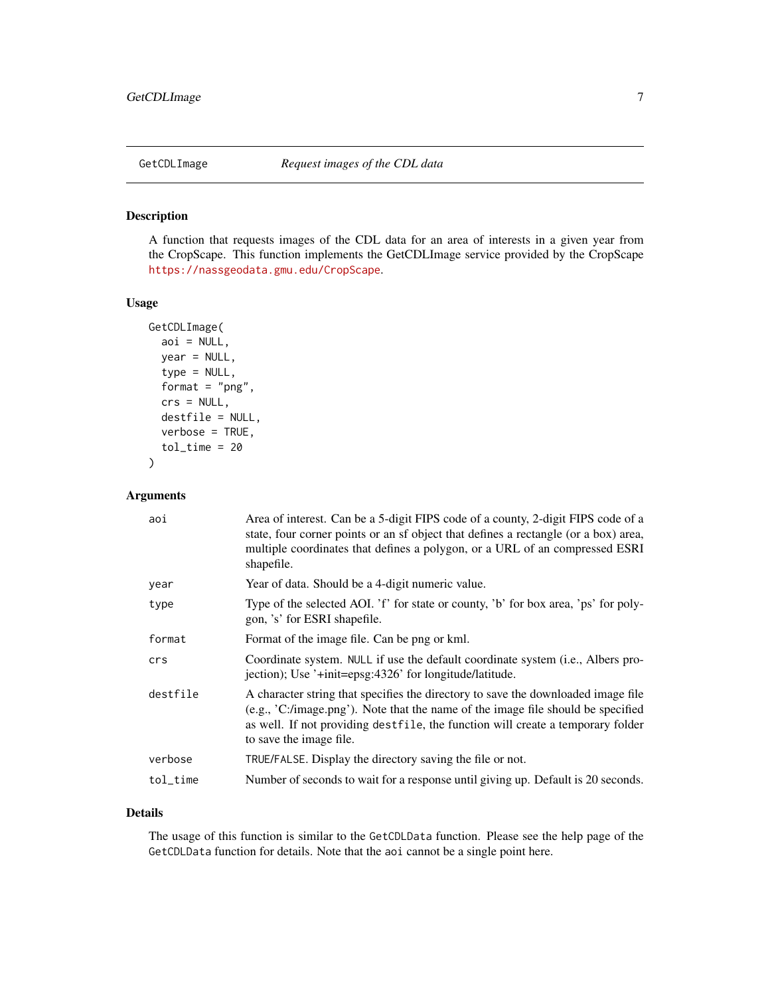#### <span id="page-6-0"></span>Description

A function that requests images of the CDL data for an area of interests in a given year from the CropScape. This function implements the GetCDLImage service provided by the CropScape <https://nassgeodata.gmu.edu/CropScape>.

#### Usage

```
GetCDLImage(
  aoi = NULL,year = NULL,
  type = NULL,
  format = "png",
  crs = NULL,
  destfile = NULL,
  verbose = TRUE,
  tol_time = 20)
```
#### Arguments

| aoi      | Area of interest. Can be a 5-digit FIPS code of a county, 2-digit FIPS code of a<br>state, four corner points or an sf object that defines a rectangle (or a box) area,<br>multiple coordinates that defines a polygon, or a URL of an compressed ESRI<br>shapefile.                |
|----------|-------------------------------------------------------------------------------------------------------------------------------------------------------------------------------------------------------------------------------------------------------------------------------------|
| year     | Year of data. Should be a 4-digit numeric value.                                                                                                                                                                                                                                    |
| type     | Type of the selected AOI. 'f' for state or county, 'b' for box area, 'ps' for poly-<br>gon, 's' for ESRI shapefile.                                                                                                                                                                 |
| format   | Format of the image file. Can be png or kml.                                                                                                                                                                                                                                        |
| crs      | Coordinate system. NULL if use the default coordinate system (i.e., Albers pro-<br>jection); Use '+init=epsg:4326' for longitude/latitude.                                                                                                                                          |
| destfile | A character string that specifies the directory to save the downloaded image file<br>(e.g., 'C:/image.png'). Note that the name of the image file should be specified<br>as well. If not providing destfile, the function will create a temporary folder<br>to save the image file. |
| verbose  | TRUE/FALSE. Display the directory saving the file or not.                                                                                                                                                                                                                           |
| tol_time | Number of seconds to wait for a response until giving up. Default is 20 seconds.                                                                                                                                                                                                    |

#### Details

The usage of this function is similar to the GetCDLData function. Please see the help page of the GetCDLData function for details. Note that the aoi cannot be a single point here.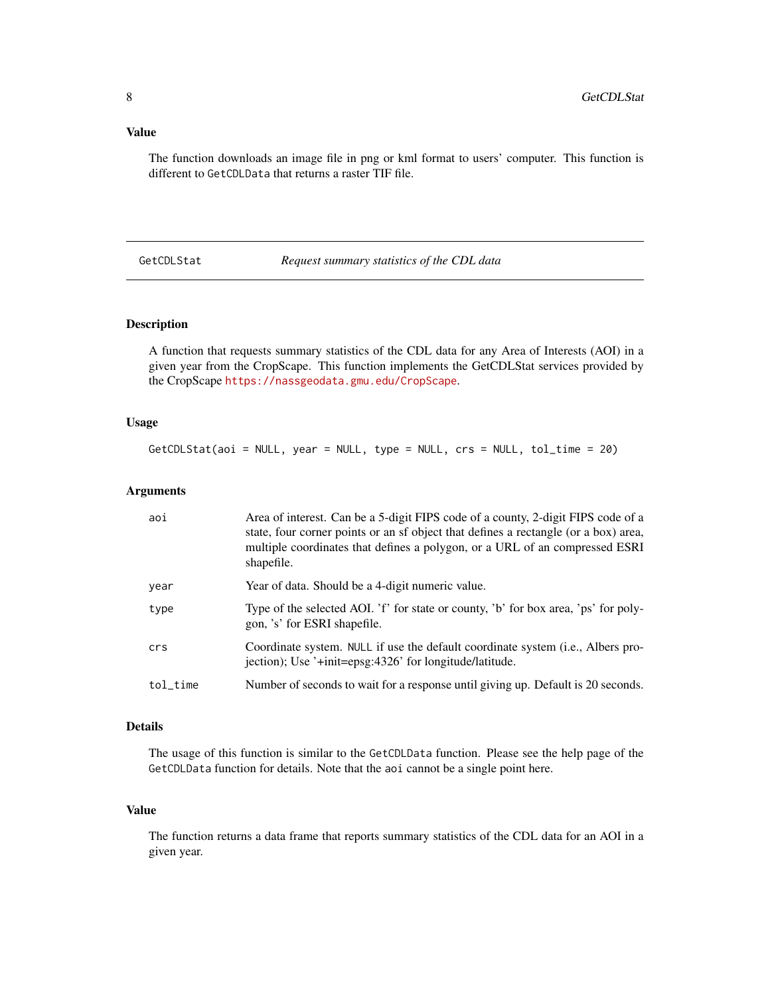#### <span id="page-7-0"></span>Value

The function downloads an image file in png or kml format to users' computer. This function is different to GetCDLData that returns a raster TIF file.

GetCDLStat *Request summary statistics of the CDL data*

#### Description

A function that requests summary statistics of the CDL data for any Area of Interests (AOI) in a given year from the CropScape. This function implements the GetCDLStat services provided by the CropScape <https://nassgeodata.gmu.edu/CropScape>.

#### Usage

GetCDLStat(aoi = NULL, year = NULL, type = NULL, crs = NULL, tol\_time = 20)

#### Arguments

| aoi      | Area of interest. Can be a 5-digit FIPS code of a county, 2-digit FIPS code of a<br>state, four corner points or an sf object that defines a rectangle (or a box) area,<br>multiple coordinates that defines a polygon, or a URL of an compressed ESRI<br>shapefile. |
|----------|----------------------------------------------------------------------------------------------------------------------------------------------------------------------------------------------------------------------------------------------------------------------|
| year     | Year of data. Should be a 4-digit numeric value.                                                                                                                                                                                                                     |
| type     | Type of the selected AOI. 'f' for state or county, 'b' for box area, 'ps' for poly-<br>gon, 's' for ESRI shapefile.                                                                                                                                                  |
| crs      | Coordinate system. NULL if use the default coordinate system (i.e., Albers pro-<br>jection); Use '+init=epsg:4326' for longitude/latitude.                                                                                                                           |
| tol time | Number of seconds to wait for a response until giving up. Default is 20 seconds.                                                                                                                                                                                     |

#### Details

The usage of this function is similar to the GetCDLData function. Please see the help page of the GetCDLData function for details. Note that the aoi cannot be a single point here.

#### Value

The function returns a data frame that reports summary statistics of the CDL data for an AOI in a given year.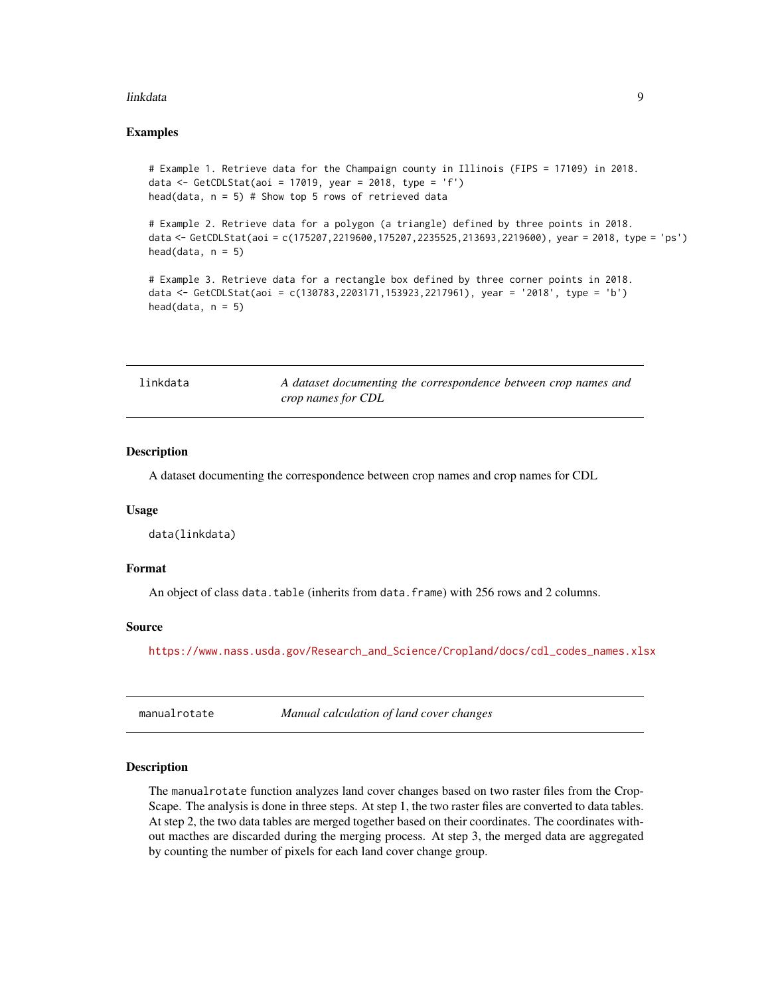#### <span id="page-8-0"></span>linkdata 9

#### Examples

```
# Example 1. Retrieve data for the Champaign county in Illinois (FIPS = 17109) in 2018.
data <- GetCDLStat(aoi = 17019, year = 2018, type = 'f')
head(data, n = 5) # Show top 5 rows of retrieved data
```

```
# Example 2. Retrieve data for a polygon (a triangle) defined by three points in 2018.
data <- GetCDLStat(aoi = c(175207,2219600,175207,2235525,213693,2219600), year = 2018, type = 'ps')
head(data, n = 5)
```

```
# Example 3. Retrieve data for a rectangle box defined by three corner points in 2018.
data <- GetCDLStat(aoi = c(130783,2203171,153923,2217961), year = '2018', type = 'b')
head(data, n = 5)
```

| linkdata | A dataset documenting the correspondence between crop names and |
|----------|-----------------------------------------------------------------|
|          | crop names for CDL                                              |

#### **Description**

A dataset documenting the correspondence between crop names and crop names for CDL

#### Usage

data(linkdata)

#### Format

An object of class data.table (inherits from data.frame) with 256 rows and 2 columns.

#### Source

[https://www.nass.usda.gov/Research\\_and\\_Science/Cropland/docs/cdl\\_codes\\_names.xlsx](https://www.nass.usda.gov/Research_and_Science/Cropland/docs/cdl_codes_names.xlsx)

manualrotate *Manual calculation of land cover changes*

#### **Description**

The manualrotate function analyzes land cover changes based on two raster files from the Crop-Scape. The analysis is done in three steps. At step 1, the two raster files are converted to data tables. At step 2, the two data tables are merged together based on their coordinates. The coordinates without macthes are discarded during the merging process. At step 3, the merged data are aggregated by counting the number of pixels for each land cover change group.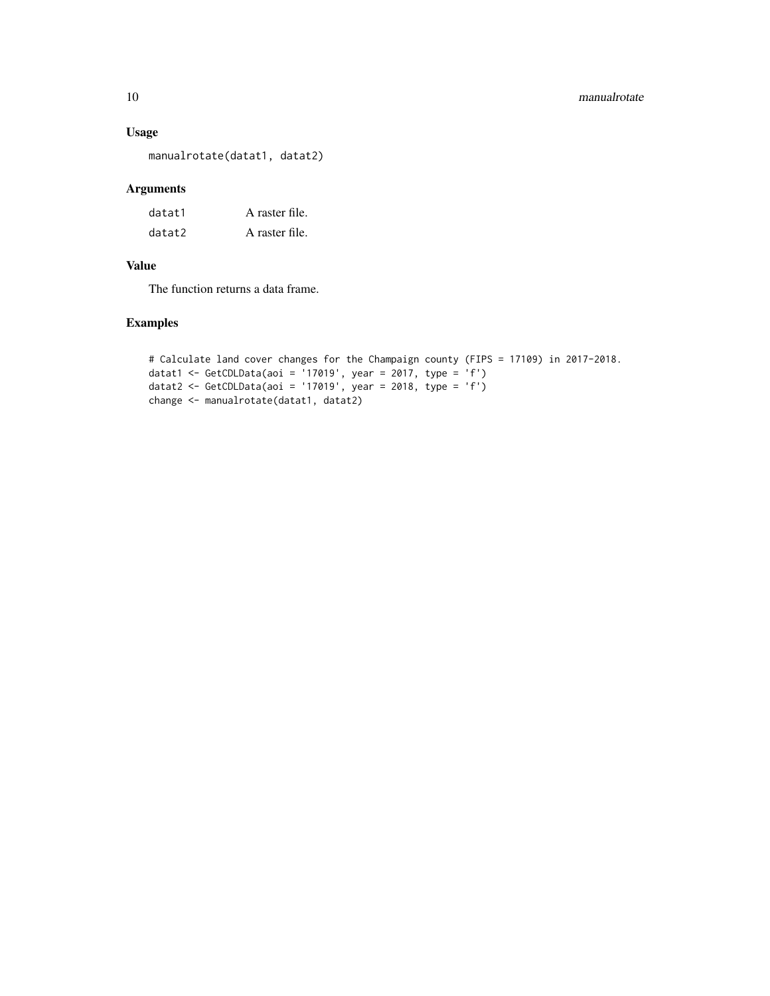#### Usage

manualrotate(datat1, datat2)

#### Arguments

| datat1 | A raster file. |
|--------|----------------|
| datat2 | A raster file. |

#### Value

The function returns a data frame.

#### Examples

```
# Calculate land cover changes for the Champaign county (FIPS = 17109) in 2017-2018.
datat1 <- GetCDLData(aoi = '17019', year = 2017, type = 'f')
datat2 <- GetCDLData(aoi = '17019', year = 2018, type = 'f')
change <- manualrotate(datat1, datat2)
```